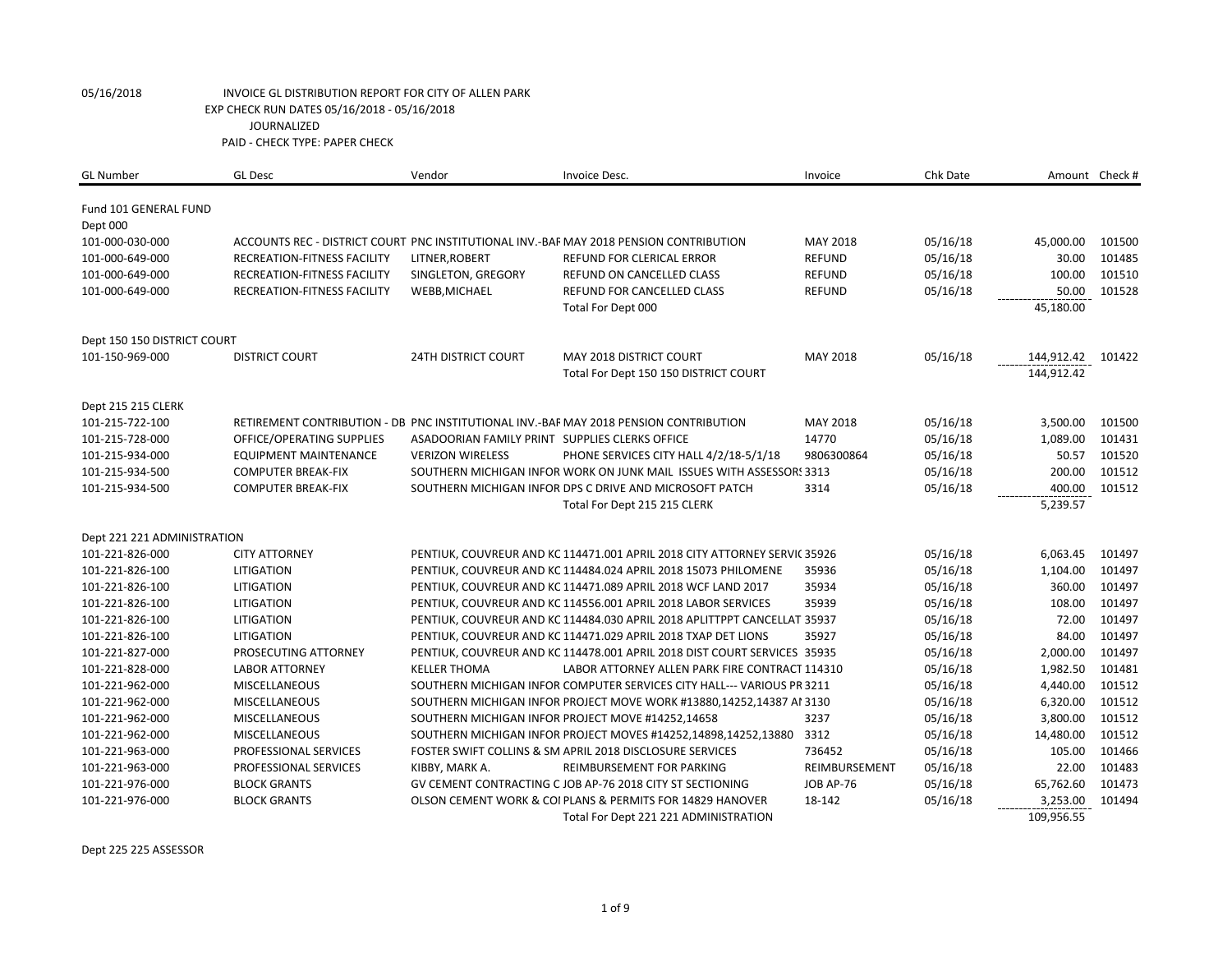| <b>GL Number</b>            | <b>GL Desc</b>               | Vendor                                         | Invoice Desc.                                                                          | Invoice          | Chk Date |            | Amount Check # |
|-----------------------------|------------------------------|------------------------------------------------|----------------------------------------------------------------------------------------|------------------|----------|------------|----------------|
| Fund 101 GENERAL FUND       |                              |                                                |                                                                                        |                  |          |            |                |
| Dept 000                    |                              |                                                |                                                                                        |                  |          |            |                |
| 101-000-030-000             |                              |                                                | ACCOUNTS REC - DISTRICT COURT PNC INSTITUTIONAL INV.-BAF MAY 2018 PENSION CONTRIBUTION | MAY 2018         | 05/16/18 | 45,000.00  | 101500         |
| 101-000-649-000             | RECREATION-FITNESS FACILITY  | LITNER, ROBERT                                 | REFUND FOR CLERICAL ERROR                                                              | <b>REFUND</b>    | 05/16/18 | 30.00      | 101485         |
| 101-000-649-000             | RECREATION-FITNESS FACILITY  | SINGLETON, GREGORY                             | REFUND ON CANCELLED CLASS                                                              | <b>REFUND</b>    | 05/16/18 | 100.00     | 101510         |
| 101-000-649-000             | RECREATION-FITNESS FACILITY  | WEBB, MICHAEL                                  | REFUND FOR CANCELLED CLASS                                                             | <b>REFUND</b>    | 05/16/18 | 50.00      | 101528         |
|                             |                              |                                                | Total For Dept 000                                                                     |                  |          | 45,180.00  |                |
| Dept 150 150 DISTRICT COURT |                              |                                                |                                                                                        |                  |          |            |                |
| 101-150-969-000             | <b>DISTRICT COURT</b>        | <b>24TH DISTRICT COURT</b>                     | <b>MAY 2018 DISTRICT COURT</b>                                                         | MAY 2018         | 05/16/18 | 144,912.42 | 101422         |
|                             |                              |                                                | Total For Dept 150 150 DISTRICT COURT                                                  |                  |          | 144,912.42 |                |
| Dept 215 215 CLERK          |                              |                                                |                                                                                        |                  |          |            |                |
| 101-215-722-100             |                              |                                                | RETIREMENT CONTRIBUTION - DB PNC INSTITUTIONAL INV.-BAF MAY 2018 PENSION CONTRIBUTION  | MAY 2018         | 05/16/18 | 3,500.00   | 101500         |
| 101-215-728-000             | OFFICE/OPERATING SUPPLIES    | ASADOORIAN FAMILY PRINT SUPPLIES CLERKS OFFICE |                                                                                        | 14770            | 05/16/18 | 1,089.00   | 101431         |
| 101-215-934-000             | <b>EQUIPMENT MAINTENANCE</b> | <b>VERIZON WIRELESS</b>                        | PHONE SERVICES CITY HALL 4/2/18-5/1/18                                                 | 9806300864       | 05/16/18 | 50.57      | 101520         |
| 101-215-934-500             | <b>COMPUTER BREAK-FIX</b>    |                                                | SOUTHERN MICHIGAN INFOR WORK ON JUNK MAIL ISSUES WITH ASSESSORS 3313                   |                  | 05/16/18 | 200.00     | 101512         |
| 101-215-934-500             | <b>COMPUTER BREAK-FIX</b>    |                                                | SOUTHERN MICHIGAN INFOR DPS C DRIVE AND MICROSOFT PATCH                                | 3314             | 05/16/18 | 400.00     | 101512         |
|                             |                              |                                                | Total For Dept 215 215 CLERK                                                           |                  |          | 5,239.57   |                |
| Dept 221 221 ADMINISTRATION |                              |                                                |                                                                                        |                  |          |            |                |
| 101-221-826-000             | <b>CITY ATTORNEY</b>         |                                                | PENTIUK, COUVREUR AND KC 114471.001 APRIL 2018 CITY ATTORNEY SERVIC 35926              |                  | 05/16/18 | 6,063.45   | 101497         |
| 101-221-826-100             | <b>LITIGATION</b>            |                                                | PENTIUK, COUVREUR AND KC 114484.024 APRIL 2018 15073 PHILOMENE                         | 35936            | 05/16/18 | 1,104.00   | 101497         |
| 101-221-826-100             | <b>LITIGATION</b>            |                                                | PENTIUK, COUVREUR AND KC 114471.089 APRIL 2018 WCF LAND 2017                           | 35934            | 05/16/18 | 360.00     | 101497         |
| 101-221-826-100             | LITIGATION                   |                                                | PENTIUK, COUVREUR AND KC 114556.001 APRIL 2018 LABOR SERVICES                          | 35939            | 05/16/18 | 108.00     | 101497         |
| 101-221-826-100             | <b>LITIGATION</b>            |                                                | PENTIUK, COUVREUR AND KC 114484.030 APRIL 2018 APLITTPPT CANCELLAT 35937               |                  | 05/16/18 | 72.00      | 101497         |
| 101-221-826-100             | <b>LITIGATION</b>            |                                                | PENTIUK, COUVREUR AND KC 114471.029 APRIL 2018 TXAP DET LIONS                          | 35927            | 05/16/18 | 84.00      | 101497         |
| 101-221-827-000             | PROSECUTING ATTORNEY         |                                                | PENTIUK, COUVREUR AND KC 114478.001 APRIL 2018 DIST COURT SERVICES 35935               |                  | 05/16/18 | 2,000.00   | 101497         |
| 101-221-828-000             | <b>LABOR ATTORNEY</b>        | <b>KELLER THOMA</b>                            | LABOR ATTORNEY ALLEN PARK FIRE CONTRACT 114310                                         |                  | 05/16/18 | 1,982.50   | 101481         |
| 101-221-962-000             | <b>MISCELLANEOUS</b>         |                                                | SOUTHERN MICHIGAN INFOR COMPUTER SERVICES CITY HALL--- VARIOUS PR 3211                 |                  | 05/16/18 | 4,440.00   | 101512         |
| 101-221-962-000             | <b>MISCELLANEOUS</b>         |                                                | SOUTHERN MICHIGAN INFOR PROJECT MOVE WORK #13880,14252,14387 AI 3130                   |                  | 05/16/18 | 6,320.00   | 101512         |
| 101-221-962-000             | <b>MISCELLANEOUS</b>         |                                                | SOUTHERN MICHIGAN INFOR PROJECT MOVE #14252,14658                                      | 3237             | 05/16/18 | 3,800.00   | 101512         |
| 101-221-962-000             | <b>MISCELLANEOUS</b>         |                                                | SOUTHERN MICHIGAN INFOR PROJECT MOVES #14252,14898,14252,13880                         | 3312             | 05/16/18 | 14,480.00  | 101512         |
| 101-221-963-000             | PROFESSIONAL SERVICES        |                                                | FOSTER SWIFT COLLINS & SM APRIL 2018 DISCLOSURE SERVICES                               | 736452           | 05/16/18 | 105.00     | 101466         |
| 101-221-963-000             | PROFESSIONAL SERVICES        | KIBBY, MARK A.                                 | REIMBURSEMENT FOR PARKING                                                              | REIMBURSEMENT    | 05/16/18 | 22.00      | 101483         |
| 101-221-976-000             | <b>BLOCK GRANTS</b>          |                                                | GV CEMENT CONTRACTING C JOB AP-76 2018 CITY ST SECTIONING                              | <b>JOB AP-76</b> | 05/16/18 | 65,762.60  | 101473         |
| 101-221-976-000             | <b>BLOCK GRANTS</b>          |                                                | OLSON CEMENT WORK & COI PLANS & PERMITS FOR 14829 HANOVER                              | 18-142           | 05/16/18 | 3,253.00   | 101494         |
|                             |                              |                                                | Total For Dept 221 221 ADMINISTRATION                                                  |                  |          | 109,956.55 |                |

Dept 225 225 ASSESSOR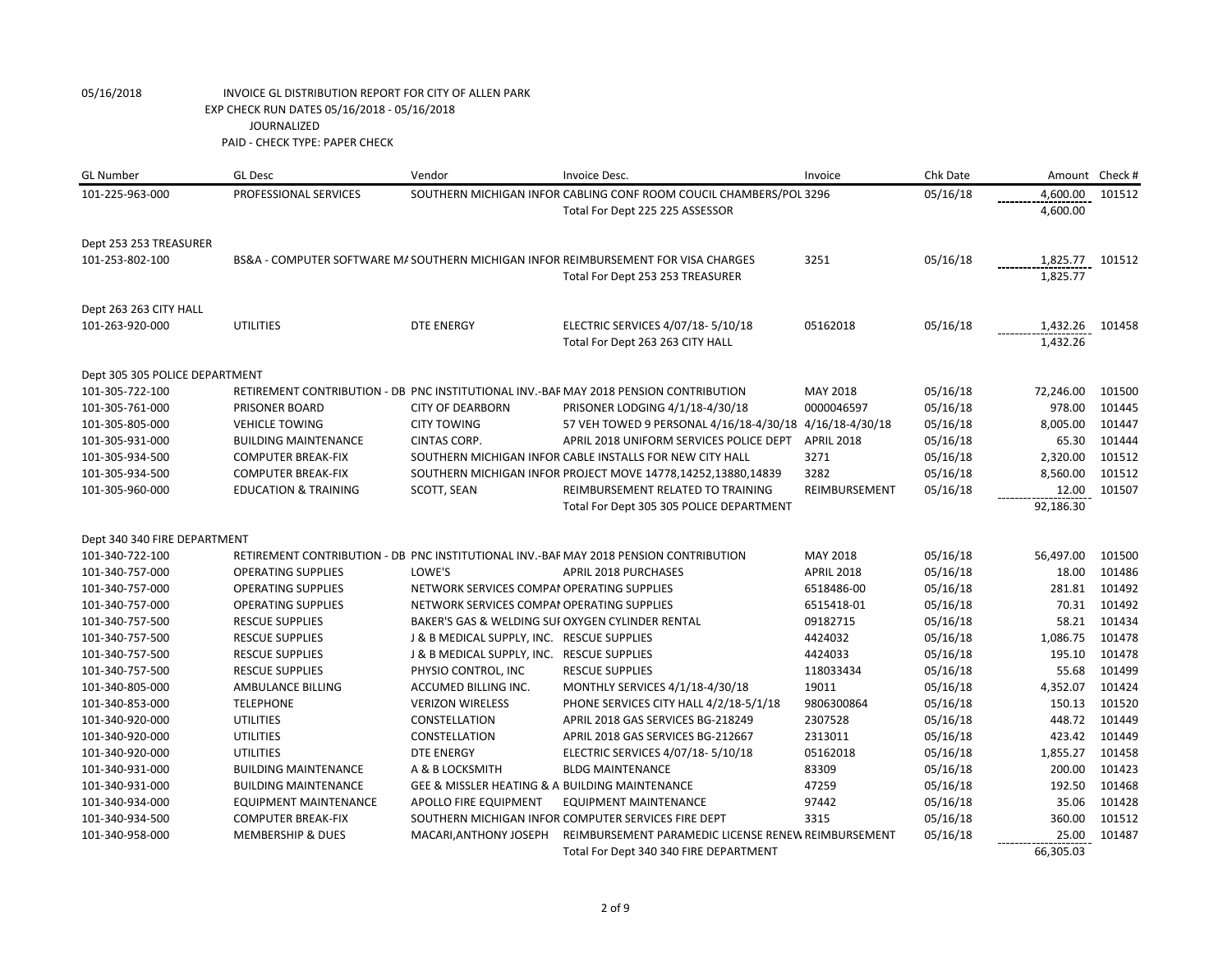| <b>GL Number</b>               | <b>GL Desc</b>                  | Vendor                                         | Invoice Desc.                                                                         | Invoice           | Chk Date |           | Amount Check # |
|--------------------------------|---------------------------------|------------------------------------------------|---------------------------------------------------------------------------------------|-------------------|----------|-----------|----------------|
| 101-225-963-000                | PROFESSIONAL SERVICES           |                                                | SOUTHERN MICHIGAN INFOR CABLING CONF ROOM COUCIL CHAMBERS/POL 3296                    |                   | 05/16/18 | 4,600.00  | 101512         |
|                                |                                 |                                                | Total For Dept 225 225 ASSESSOR                                                       |                   |          | 4,600.00  |                |
| Dept 253 253 TREASURER         |                                 |                                                |                                                                                       |                   |          |           |                |
| 101-253-802-100                |                                 |                                                | BS&A - COMPUTER SOFTWARE M/ SOUTHERN MICHIGAN INFOR REIMBURSEMENT FOR VISA CHARGES    | 3251              | 05/16/18 | 1,825.77  | 101512         |
|                                |                                 |                                                | Total For Dept 253 253 TREASURER                                                      |                   |          | 1,825.77  |                |
| Dept 263 263 CITY HALL         |                                 |                                                |                                                                                       |                   |          |           |                |
| 101-263-920-000                | <b>UTILITIES</b>                | <b>DTE ENERGY</b>                              | ELECTRIC SERVICES 4/07/18-5/10/18                                                     | 05162018          | 05/16/18 | 1,432.26  | 101458         |
|                                |                                 |                                                | Total For Dept 263 263 CITY HALL                                                      |                   |          | 1,432.26  |                |
| Dept 305 305 POLICE DEPARTMENT |                                 |                                                |                                                                                       |                   |          |           |                |
| 101-305-722-100                |                                 |                                                | RETIREMENT CONTRIBUTION - DB PNC INSTITUTIONAL INV.-BAF MAY 2018 PENSION CONTRIBUTION | MAY 2018          | 05/16/18 | 72,246.00 | 101500         |
| 101-305-761-000                | PRISONER BOARD                  | <b>CITY OF DEARBORN</b>                        | PRISONER LODGING 4/1/18-4/30/18                                                       | 0000046597        | 05/16/18 | 978.00    | 101445         |
| 101-305-805-000                | <b>VEHICLE TOWING</b>           | <b>CITY TOWING</b>                             | 57 VEH TOWED 9 PERSONAL 4/16/18-4/30/18 4/16/18-4/30/18                               |                   | 05/16/18 | 8,005.00  | 101447         |
| 101-305-931-000                | <b>BUILDING MAINTENANCE</b>     | CINTAS CORP.                                   | APRIL 2018 UNIFORM SERVICES POLICE DEPT                                               | <b>APRIL 2018</b> | 05/16/18 | 65.30     | 101444         |
| 101-305-934-500                | <b>COMPUTER BREAK-FIX</b>       |                                                | SOUTHERN MICHIGAN INFOR CABLE INSTALLS FOR NEW CITY HALL                              | 3271              | 05/16/18 | 2,320.00  | 101512         |
| 101-305-934-500                | <b>COMPUTER BREAK-FIX</b>       |                                                | SOUTHERN MICHIGAN INFOR PROJECT MOVE 14778,14252,13880,14839                          | 3282              | 05/16/18 | 8,560.00  | 101512         |
| 101-305-960-000                | <b>EDUCATION &amp; TRAINING</b> | SCOTT, SEAN                                    | REIMBURSEMENT RELATED TO TRAINING                                                     | REIMBURSEMENT     | 05/16/18 | 12.00     | 101507         |
|                                |                                 |                                                | Total For Dept 305 305 POLICE DEPARTMENT                                              |                   |          | 92,186.30 |                |
| Dept 340 340 FIRE DEPARTMENT   |                                 |                                                |                                                                                       |                   |          |           |                |
| 101-340-722-100                |                                 |                                                | RETIREMENT CONTRIBUTION - DB PNC INSTITUTIONAL INV.-BAF MAY 2018 PENSION CONTRIBUTION | MAY 2018          | 05/16/18 | 56,497.00 | 101500         |
| 101-340-757-000                | <b>OPERATING SUPPLIES</b>       | LOWE'S                                         | APRIL 2018 PURCHASES                                                                  | <b>APRIL 2018</b> | 05/16/18 | 18.00     | 101486         |
| 101-340-757-000                | <b>OPERATING SUPPLIES</b>       | NETWORK SERVICES COMPAI OPERATING SUPPLIES     |                                                                                       | 6518486-00        | 05/16/18 | 281.81    | 101492         |
| 101-340-757-000                | <b>OPERATING SUPPLIES</b>       | NETWORK SERVICES COMPAI OPERATING SUPPLIES     |                                                                                       | 6515418-01        | 05/16/18 | 70.31     | 101492         |
| 101-340-757-500                | <b>RESCUE SUPPLIES</b>          |                                                | BAKER'S GAS & WELDING SUI OXYGEN CYLINDER RENTAL                                      | 09182715          | 05/16/18 | 58.21     | 101434         |
| 101-340-757-500                | <b>RESCUE SUPPLIES</b>          | J & B MEDICAL SUPPLY, INC. RESCUE SUPPLIES     |                                                                                       | 4424032           | 05/16/18 | 1,086.75  | 101478         |
| 101-340-757-500                | <b>RESCUE SUPPLIES</b>          | J & B MEDICAL SUPPLY, INC. RESCUE SUPPLIES     |                                                                                       | 4424033           | 05/16/18 | 195.10    | 101478         |
| 101-340-757-500                | <b>RESCUE SUPPLIES</b>          | PHYSIO CONTROL, INC                            | <b>RESCUE SUPPLIES</b>                                                                | 118033434         | 05/16/18 | 55.68     | 101499         |
| 101-340-805-000                | AMBULANCE BILLING               | ACCUMED BILLING INC.                           | MONTHLY SERVICES 4/1/18-4/30/18                                                       | 19011             | 05/16/18 | 4,352.07  | 101424         |
| 101-340-853-000                | <b>TELEPHONE</b>                | <b>VERIZON WIRELESS</b>                        | PHONE SERVICES CITY HALL 4/2/18-5/1/18                                                | 9806300864        | 05/16/18 | 150.13    | 101520         |
| 101-340-920-000                | <b>UTILITIES</b>                | CONSTELLATION                                  | APRIL 2018 GAS SERVICES BG-218249                                                     | 2307528           | 05/16/18 | 448.72    | 101449         |
| 101-340-920-000                | <b>UTILITIES</b>                | CONSTELLATION                                  | APRIL 2018 GAS SERVICES BG-212667                                                     | 2313011           | 05/16/18 | 423.42    | 101449         |
| 101-340-920-000                | <b>UTILITIES</b>                | <b>DTE ENERGY</b>                              | ELECTRIC SERVICES 4/07/18-5/10/18                                                     | 05162018          | 05/16/18 | 1,855.27  | 101458         |
| 101-340-931-000                | <b>BUILDING MAINTENANCE</b>     | A & B LOCKSMITH                                | <b>BLDG MAINTENANCE</b>                                                               | 83309             | 05/16/18 | 200.00    | 101423         |
| 101-340-931-000                | <b>BUILDING MAINTENANCE</b>     | GEE & MISSLER HEATING & A BUILDING MAINTENANCE |                                                                                       | 47259             | 05/16/18 | 192.50    | 101468         |
| 101-340-934-000                | <b>EQUIPMENT MAINTENANCE</b>    | APOLLO FIRE EQUIPMENT                          | <b>EQUIPMENT MAINTENANCE</b>                                                          | 97442             | 05/16/18 | 35.06     | 101428         |
| 101-340-934-500                | <b>COMPUTER BREAK-FIX</b>       |                                                | SOUTHERN MICHIGAN INFOR COMPUTER SERVICES FIRE DEPT                                   | 3315              | 05/16/18 | 360.00    | 101512         |
| 101-340-958-000                | <b>MEMBERSHIP &amp; DUES</b>    | MACARI, ANTHONY JOSEPH                         | REIMBURSEMENT PARAMEDIC LICENSE RENEW REIMBURSEMENT                                   |                   | 05/16/18 | 25.00     | 101487         |
|                                |                                 |                                                | Total For Dept 340 340 FIRE DEPARTMENT                                                |                   |          | 66,305.03 |                |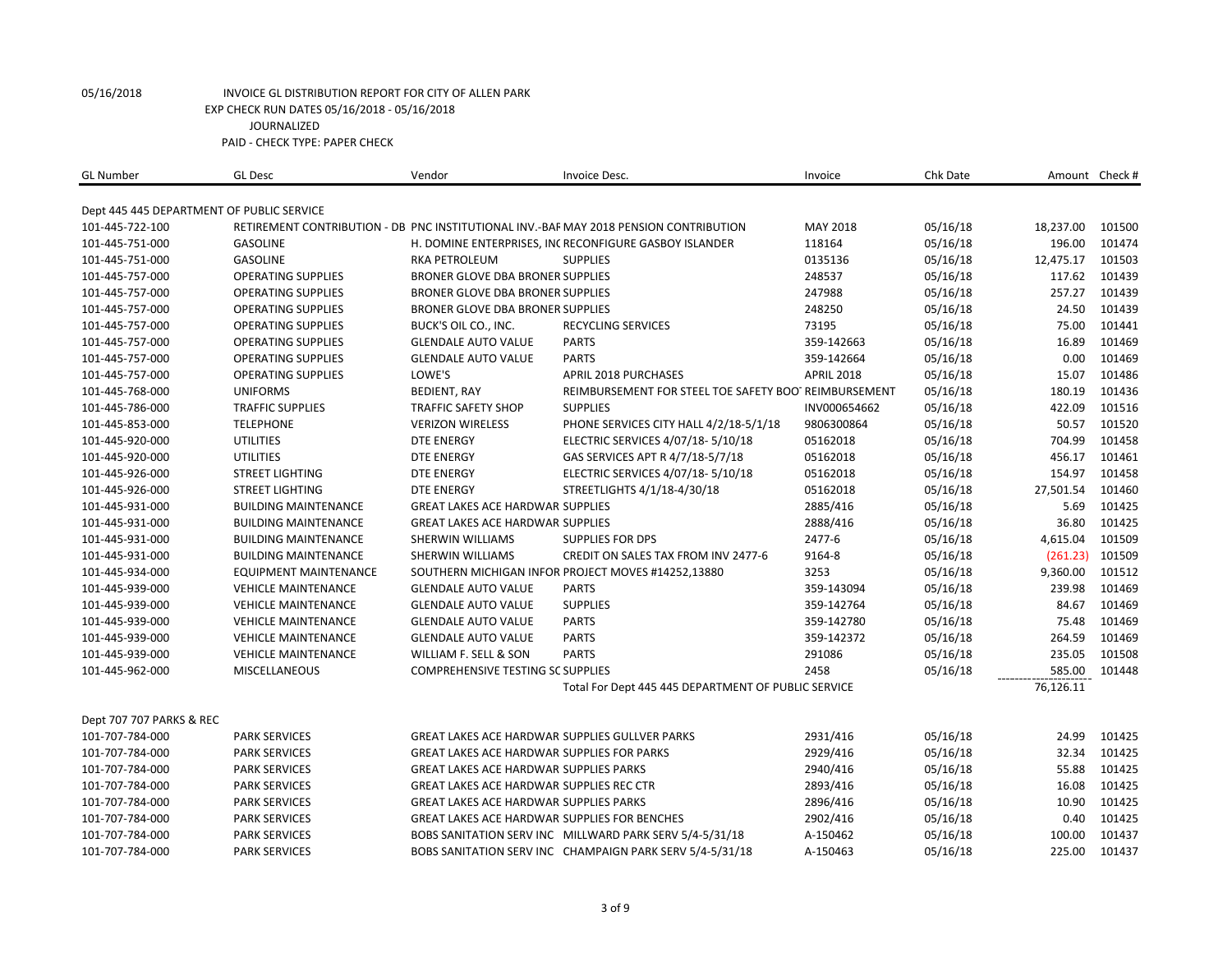| <b>GL Number</b>         | <b>GL Desc</b>                            | Vendor                                            | Invoice Desc.                                                                         | Invoice           | Chk Date |           | Amount Check # |
|--------------------------|-------------------------------------------|---------------------------------------------------|---------------------------------------------------------------------------------------|-------------------|----------|-----------|----------------|
|                          | Dept 445 445 DEPARTMENT OF PUBLIC SERVICE |                                                   |                                                                                       |                   |          |           |                |
| 101-445-722-100          |                                           |                                                   | RETIREMENT CONTRIBUTION - DB PNC INSTITUTIONAL INV.-BAF MAY 2018 PENSION CONTRIBUTION | MAY 2018          | 05/16/18 | 18,237.00 | 101500         |
| 101-445-751-000          | <b>GASOLINE</b>                           |                                                   | H. DOMINE ENTERPRISES, INCRECONFIGURE GASBOY ISLANDER                                 | 118164            | 05/16/18 | 196.00    | 101474         |
| 101-445-751-000          | <b>GASOLINE</b>                           | <b>RKA PETROLEUM</b>                              | <b>SUPPLIES</b>                                                                       | 0135136           | 05/16/18 | 12,475.17 | 101503         |
| 101-445-757-000          | <b>OPERATING SUPPLIES</b>                 | BRONER GLOVE DBA BRONER SUPPLIES                  |                                                                                       | 248537            | 05/16/18 | 117.62    | 101439         |
| 101-445-757-000          | <b>OPERATING SUPPLIES</b>                 | BRONER GLOVE DBA BRONER SUPPLIES                  |                                                                                       | 247988            | 05/16/18 | 257.27    | 101439         |
| 101-445-757-000          | <b>OPERATING SUPPLIES</b>                 | BRONER GLOVE DBA BRONER SUPPLIES                  |                                                                                       | 248250            | 05/16/18 | 24.50     | 101439         |
| 101-445-757-000          | <b>OPERATING SUPPLIES</b>                 | BUCK'S OIL CO., INC.                              | RECYCLING SERVICES                                                                    | 73195             | 05/16/18 | 75.00     | 101441         |
| 101-445-757-000          | <b>OPERATING SUPPLIES</b>                 | <b>GLENDALE AUTO VALUE</b>                        | <b>PARTS</b>                                                                          | 359-142663        | 05/16/18 | 16.89     | 101469         |
| 101-445-757-000          | <b>OPERATING SUPPLIES</b>                 | <b>GLENDALE AUTO VALUE</b>                        | <b>PARTS</b>                                                                          | 359-142664        | 05/16/18 | 0.00      | 101469         |
| 101-445-757-000          | <b>OPERATING SUPPLIES</b>                 | LOWE'S                                            | <b>APRIL 2018 PURCHASES</b>                                                           | <b>APRIL 2018</b> | 05/16/18 | 15.07     | 101486         |
| 101-445-768-000          | <b>UNIFORMS</b>                           | <b>BEDIENT, RAY</b>                               | REIMBURSEMENT FOR STEEL TOE SAFETY BOO' REIMBURSEMENT                                 |                   | 05/16/18 | 180.19    | 101436         |
| 101-445-786-000          | <b>TRAFFIC SUPPLIES</b>                   | <b>TRAFFIC SAFETY SHOP</b>                        | <b>SUPPLIES</b>                                                                       | INV000654662      | 05/16/18 | 422.09    | 101516         |
| 101-445-853-000          | <b>TELEPHONE</b>                          | <b>VERIZON WIRELESS</b>                           | PHONE SERVICES CITY HALL 4/2/18-5/1/18                                                | 9806300864        | 05/16/18 | 50.57     | 101520         |
| 101-445-920-000          | <b>UTILITIES</b>                          | <b>DTE ENERGY</b>                                 | ELECTRIC SERVICES 4/07/18-5/10/18                                                     | 05162018          | 05/16/18 | 704.99    | 101458         |
| 101-445-920-000          | <b>UTILITIES</b>                          | <b>DTE ENERGY</b>                                 | GAS SERVICES APT R 4/7/18-5/7/18                                                      | 05162018          | 05/16/18 | 456.17    | 101461         |
| 101-445-926-000          | <b>STREET LIGHTING</b>                    | <b>DTE ENERGY</b>                                 | ELECTRIC SERVICES 4/07/18-5/10/18                                                     | 05162018          | 05/16/18 | 154.97    | 101458         |
| 101-445-926-000          | <b>STREET LIGHTING</b>                    | <b>DTE ENERGY</b>                                 | STREETLIGHTS 4/1/18-4/30/18                                                           | 05162018          | 05/16/18 | 27,501.54 | 101460         |
| 101-445-931-000          | <b>BUILDING MAINTENANCE</b>               | <b>GREAT LAKES ACE HARDWAR SUPPLIES</b>           |                                                                                       | 2885/416          | 05/16/18 | 5.69      | 101425         |
| 101-445-931-000          | <b>BUILDING MAINTENANCE</b>               | <b>GREAT LAKES ACE HARDWAR SUPPLIES</b>           |                                                                                       | 2888/416          | 05/16/18 | 36.80     | 101425         |
| 101-445-931-000          | <b>BUILDING MAINTENANCE</b>               | SHERWIN WILLIAMS                                  | <b>SUPPLIES FOR DPS</b>                                                               | 2477-6            | 05/16/18 | 4,615.04  | 101509         |
| 101-445-931-000          | <b>BUILDING MAINTENANCE</b>               | SHERWIN WILLIAMS                                  | CREDIT ON SALES TAX FROM INV 2477-6                                                   | 9164-8            | 05/16/18 | (261.23)  | 101509         |
| 101-445-934-000          | <b>EQUIPMENT MAINTENANCE</b>              |                                                   | SOUTHERN MICHIGAN INFOR PROJECT MOVES #14252,13880                                    | 3253              | 05/16/18 | 9,360.00  | 101512         |
| 101-445-939-000          | <b>VEHICLE MAINTENANCE</b>                | <b>GLENDALE AUTO VALUE</b>                        | <b>PARTS</b>                                                                          | 359-143094        | 05/16/18 | 239.98    | 101469         |
| 101-445-939-000          | <b>VEHICLE MAINTENANCE</b>                | <b>GLENDALE AUTO VALUE</b>                        | <b>SUPPLIES</b>                                                                       | 359-142764        | 05/16/18 | 84.67     | 101469         |
| 101-445-939-000          | <b>VEHICLE MAINTENANCE</b>                | <b>GLENDALE AUTO VALUE</b>                        | <b>PARTS</b>                                                                          | 359-142780        | 05/16/18 | 75.48     | 101469         |
| 101-445-939-000          | <b>VEHICLE MAINTENANCE</b>                | <b>GLENDALE AUTO VALUE</b>                        | <b>PARTS</b>                                                                          | 359-142372        | 05/16/18 | 264.59    | 101469         |
| 101-445-939-000          | <b>VEHICLE MAINTENANCE</b>                | WILLIAM F. SELL & SON                             | <b>PARTS</b>                                                                          | 291086            | 05/16/18 | 235.05    | 101508         |
| 101-445-962-000          | MISCELLANEOUS                             | COMPREHENSIVE TESTING SC SUPPLIES                 |                                                                                       | 2458              | 05/16/18 | 585.00    | 101448         |
|                          |                                           |                                                   | Total For Dept 445 445 DEPARTMENT OF PUBLIC SERVICE                                   |                   |          | 76,126.11 |                |
| Dept 707 707 PARKS & REC |                                           |                                                   |                                                                                       |                   |          |           |                |
| 101-707-784-000          | <b>PARK SERVICES</b>                      |                                                   | <b>GREAT LAKES ACE HARDWAR SUPPLIES GULLVER PARKS</b>                                 | 2931/416          | 05/16/18 | 24.99     | 101425         |
| 101-707-784-000          | <b>PARK SERVICES</b>                      | <b>GREAT LAKES ACE HARDWAR SUPPLIES FOR PARKS</b> |                                                                                       | 2929/416          | 05/16/18 | 32.34     | 101425         |
| 101-707-784-000          | <b>PARK SERVICES</b>                      | <b>GREAT LAKES ACE HARDWAR SUPPLIES PARKS</b>     |                                                                                       | 2940/416          | 05/16/18 | 55.88     | 101425         |
| 101-707-784-000          | <b>PARK SERVICES</b>                      | GREAT LAKES ACE HARDWAR SUPPLIES REC CTR          |                                                                                       | 2893/416          | 05/16/18 | 16.08     | 101425         |
| 101-707-784-000          | <b>PARK SERVICES</b>                      | <b>GREAT LAKES ACE HARDWAR SUPPLIES PARKS</b>     |                                                                                       | 2896/416          | 05/16/18 | 10.90     | 101425         |
| 101-707-784-000          | <b>PARK SERVICES</b>                      |                                                   | GREAT LAKES ACE HARDWAR SUPPLIES FOR BENCHES                                          | 2902/416          | 05/16/18 | 0.40      | 101425         |
| 101-707-784-000          | <b>PARK SERVICES</b>                      |                                                   | BOBS SANITATION SERV INC MILLWARD PARK SERV 5/4-5/31/18                               | A-150462          | 05/16/18 | 100.00    | 101437         |
| 101-707-784-000          | <b>PARK SERVICES</b>                      |                                                   | BOBS SANITATION SERV INC CHAMPAIGN PARK SERV 5/4-5/31/18                              | A-150463          | 05/16/18 | 225.00    | 101437         |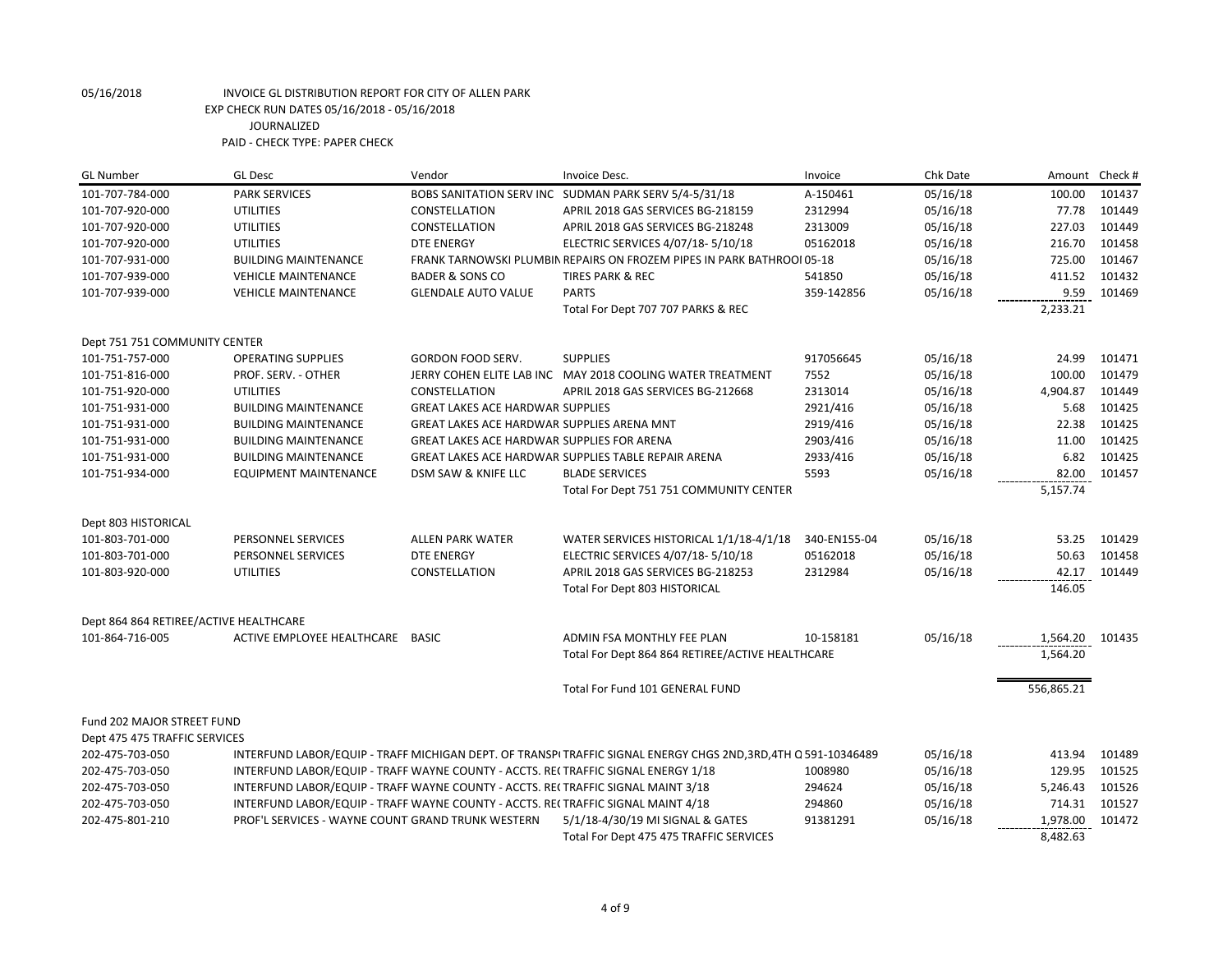| <b>GL Number</b>                       | <b>GL Desc</b>                                                                    | Vendor                                     | Invoice Desc.                                                                                                | Invoice      | Chk Date | Amount Check # |        |
|----------------------------------------|-----------------------------------------------------------------------------------|--------------------------------------------|--------------------------------------------------------------------------------------------------------------|--------------|----------|----------------|--------|
| 101-707-784-000                        | <b>PARK SERVICES</b>                                                              |                                            | BOBS SANITATION SERV INC SUDMAN PARK SERV 5/4-5/31/18                                                        | A-150461     | 05/16/18 | 100.00         | 101437 |
| 101-707-920-000                        | <b>UTILITIES</b>                                                                  | CONSTELLATION                              | APRIL 2018 GAS SERVICES BG-218159                                                                            | 2312994      | 05/16/18 | 77.78          | 101449 |
| 101-707-920-000                        | <b>UTILITIES</b>                                                                  | CONSTELLATION                              | APRIL 2018 GAS SERVICES BG-218248                                                                            | 2313009      | 05/16/18 | 227.03         | 101449 |
| 101-707-920-000                        | <b>UTILITIES</b>                                                                  | <b>DTE ENERGY</b>                          | ELECTRIC SERVICES 4/07/18- 5/10/18                                                                           | 05162018     | 05/16/18 | 216.70         | 101458 |
| 101-707-931-000                        | <b>BUILDING MAINTENANCE</b>                                                       |                                            | FRANK TARNOWSKI PLUMBIN REPAIRS ON FROZEM PIPES IN PARK BATHROOI 05-18                                       |              | 05/16/18 | 725.00         | 101467 |
| 101-707-939-000                        | <b>VEHICLE MAINTENANCE</b>                                                        | <b>BADER &amp; SONS CO</b>                 | <b>TIRES PARK &amp; REC</b>                                                                                  | 541850       | 05/16/18 | 411.52         | 101432 |
| 101-707-939-000                        | <b>VEHICLE MAINTENANCE</b>                                                        | <b>GLENDALE AUTO VALUE</b>                 | <b>PARTS</b>                                                                                                 | 359-142856   | 05/16/18 | 9.59           | 101469 |
|                                        |                                                                                   |                                            | Total For Dept 707 707 PARKS & REC                                                                           |              |          | 2,233.21       |        |
| Dept 751 751 COMMUNITY CENTER          |                                                                                   |                                            |                                                                                                              |              |          |                |        |
| 101-751-757-000                        | <b>OPERATING SUPPLIES</b>                                                         | GORDON FOOD SERV.                          | <b>SUPPLIES</b>                                                                                              | 917056645    | 05/16/18 | 24.99          | 101471 |
| 101-751-816-000                        | PROF. SERV. - OTHER                                                               |                                            | JERRY COHEN ELITE LAB INC MAY 2018 COOLING WATER TREATMENT                                                   | 7552         | 05/16/18 | 100.00         | 101479 |
| 101-751-920-000                        | <b>UTILITIES</b>                                                                  | CONSTELLATION                              | APRIL 2018 GAS SERVICES BG-212668                                                                            | 2313014      | 05/16/18 | 4,904.87       | 101449 |
| 101-751-931-000                        | <b>BUILDING MAINTENANCE</b>                                                       | <b>GREAT LAKES ACE HARDWAR SUPPLIES</b>    |                                                                                                              | 2921/416     | 05/16/18 | 5.68           | 101425 |
| 101-751-931-000                        | <b>BUILDING MAINTENANCE</b>                                                       | GREAT LAKES ACE HARDWAR SUPPLIES ARENA MNT |                                                                                                              | 2919/416     | 05/16/18 | 22.38          | 101425 |
| 101-751-931-000                        | <b>BUILDING MAINTENANCE</b>                                                       | GREAT LAKES ACE HARDWAR SUPPLIES FOR ARENA |                                                                                                              | 2903/416     | 05/16/18 | 11.00          | 101425 |
| 101-751-931-000                        | <b>BUILDING MAINTENANCE</b>                                                       |                                            | GREAT LAKES ACE HARDWAR SUPPLIES TABLE REPAIR ARENA                                                          | 2933/416     | 05/16/18 | 6.82           | 101425 |
| 101-751-934-000                        | <b>EQUIPMENT MAINTENANCE</b>                                                      | DSM SAW & KNIFE LLC                        | <b>BLADE SERVICES</b>                                                                                        | 5593         | 05/16/18 | 82.00          | 101457 |
|                                        |                                                                                   |                                            | Total For Dept 751 751 COMMUNITY CENTER                                                                      |              |          | 5,157.74       |        |
| Dept 803 HISTORICAL                    |                                                                                   |                                            |                                                                                                              |              |          |                |        |
| 101-803-701-000                        | PERSONNEL SERVICES                                                                | <b>ALLEN PARK WATER</b>                    | WATER SERVICES HISTORICAL 1/1/18-4/1/18                                                                      | 340-EN155-04 | 05/16/18 | 53.25          | 101429 |
| 101-803-701-000                        | PERSONNEL SERVICES                                                                | <b>DTE ENERGY</b>                          | ELECTRIC SERVICES 4/07/18- 5/10/18                                                                           | 05162018     | 05/16/18 | 50.63          | 101458 |
| 101-803-920-000                        | <b>UTILITIES</b>                                                                  | CONSTELLATION                              | APRIL 2018 GAS SERVICES BG-218253                                                                            | 2312984      | 05/16/18 | 42.17          | 101449 |
|                                        |                                                                                   |                                            | Total For Dept 803 HISTORICAL                                                                                |              |          | 146.05         |        |
| Dept 864 864 RETIREE/ACTIVE HEALTHCARE |                                                                                   |                                            |                                                                                                              |              |          |                |        |
| 101-864-716-005                        | ACTIVE EMPLOYEE HEALTHCARE BASIC                                                  |                                            | ADMIN FSA MONTHLY FEE PLAN                                                                                   | 10-158181    | 05/16/18 | 1,564.20       | 101435 |
|                                        |                                                                                   |                                            | Total For Dept 864 864 RETIREE/ACTIVE HEALTHCARE                                                             |              |          | 1,564.20       |        |
|                                        |                                                                                   |                                            | Total For Fund 101 GENERAL FUND                                                                              |              |          | 556,865.21     |        |
|                                        |                                                                                   |                                            |                                                                                                              |              |          |                |        |
| Fund 202 MAJOR STREET FUND             |                                                                                   |                                            |                                                                                                              |              |          |                |        |
| Dept 475 475 TRAFFIC SERVICES          |                                                                                   |                                            |                                                                                                              |              |          |                |        |
| 202-475-703-050                        |                                                                                   |                                            | INTERFUND LABOR/EQUIP - TRAFF MICHIGAN DEPT. OF TRANSPITRAFFIC SIGNAL ENERGY CHGS 2ND,3RD,4TH Q 591-10346489 |              | 05/16/18 | 413.94         | 101489 |
| 202-475-703-050                        | INTERFUND LABOR/EQUIP - TRAFF WAYNE COUNTY - ACCTS. RECTRAFFIC SIGNAL ENERGY 1/18 |                                            |                                                                                                              | 1008980      | 05/16/18 | 129.95         | 101525 |
| 202-475-703-050                        | INTERFUND LABOR/EQUIP - TRAFF WAYNE COUNTY - ACCTS. RECTRAFFIC SIGNAL MAINT 3/18  |                                            |                                                                                                              | 294624       | 05/16/18 | 5,246.43       | 101526 |
| 202-475-703-050                        | INTERFUND LABOR/EQUIP - TRAFF WAYNE COUNTY - ACCTS. RE(TRAFFIC SIGNAL MAINT 4/18  |                                            |                                                                                                              | 294860       | 05/16/18 | 714.31         | 101527 |
| 202-475-801-210                        | PROF'L SERVICES - WAYNE COUNT GRAND TRUNK WESTERN                                 |                                            | 5/1/18-4/30/19 MI SIGNAL & GATES                                                                             | 91381291     | 05/16/18 | 1,978.00       | 101472 |
|                                        |                                                                                   |                                            | Total For Dept 475 475 TRAFFIC SERVICES                                                                      |              |          | 8,482.63       |        |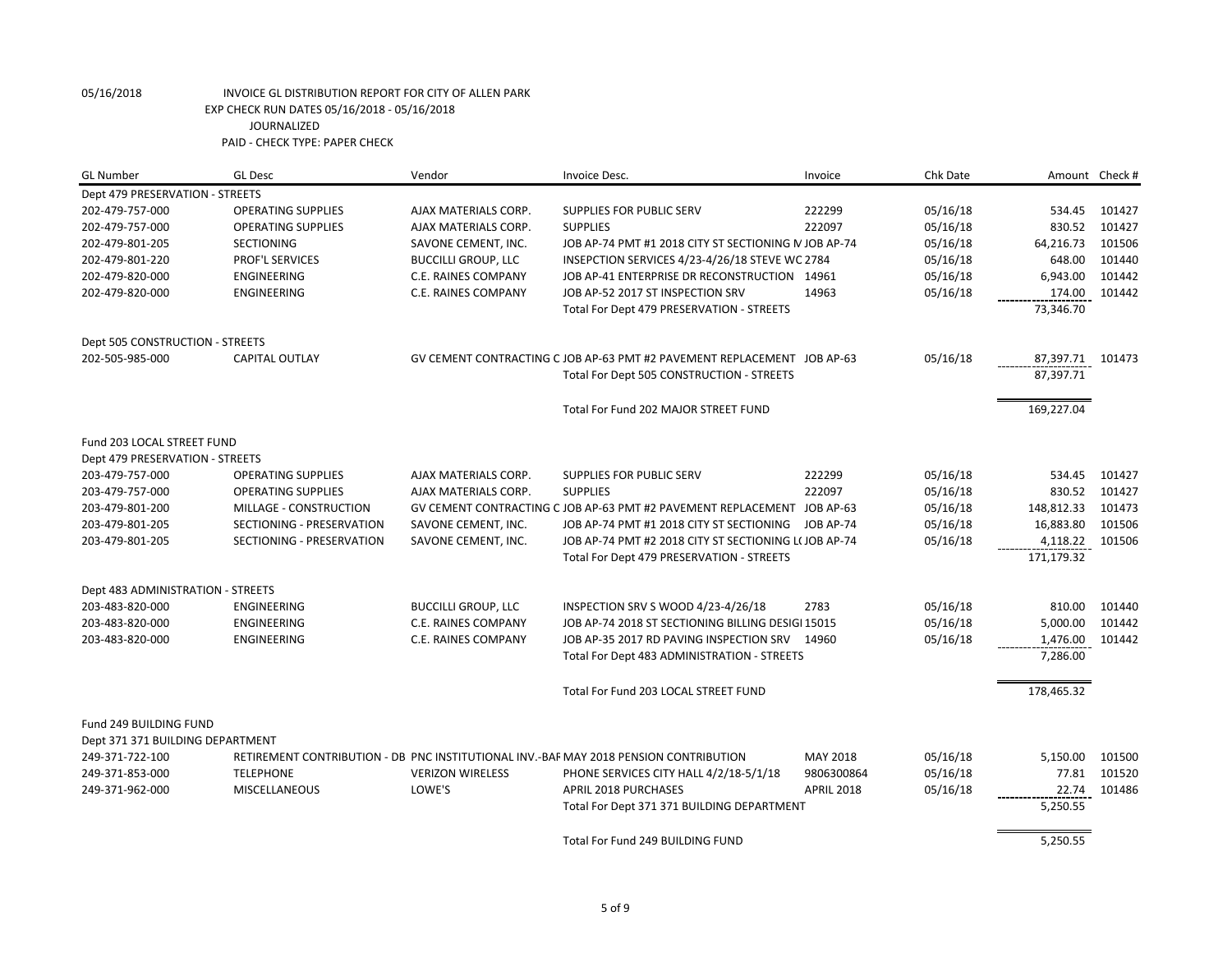| <b>GL Number</b>                  | <b>GL Desc</b>            | Vendor                     | Invoice Desc.                                                                         | Invoice           | Chk Date | Amount Check # |        |
|-----------------------------------|---------------------------|----------------------------|---------------------------------------------------------------------------------------|-------------------|----------|----------------|--------|
| Dept 479 PRESERVATION - STREETS   |                           |                            |                                                                                       |                   |          |                |        |
| 202-479-757-000                   | <b>OPERATING SUPPLIES</b> | AJAX MATERIALS CORP.       | SUPPLIES FOR PUBLIC SERV                                                              | 222299            | 05/16/18 | 534.45         | 101427 |
| 202-479-757-000                   | <b>OPERATING SUPPLIES</b> | AJAX MATERIALS CORP.       | <b>SUPPLIES</b>                                                                       | 222097            | 05/16/18 | 830.52         | 101427 |
| 202-479-801-205                   | <b>SECTIONING</b>         | SAVONE CEMENT, INC.        | JOB AP-74 PMT #1 2018 CITY ST SECTIONING N JOB AP-74                                  |                   | 05/16/18 | 64,216.73      | 101506 |
| 202-479-801-220                   | PROF'L SERVICES           | <b>BUCCILLI GROUP, LLC</b> | INSEPCTION SERVICES 4/23-4/26/18 STEVE WC 2784                                        |                   | 05/16/18 | 648.00         | 101440 |
| 202-479-820-000                   | ENGINEERING               | C.E. RAINES COMPANY        | JOB AP-41 ENTERPRISE DR RECONSTRUCTION 14961                                          |                   | 05/16/18 | 6,943.00       | 101442 |
| 202-479-820-000                   | <b>ENGINEERING</b>        | <b>C.E. RAINES COMPANY</b> | JOB AP-52 2017 ST INSPECTION SRV                                                      | 14963             | 05/16/18 | 174.00         | 101442 |
|                                   |                           |                            | Total For Dept 479 PRESERVATION - STREETS                                             |                   |          | 73,346.70      |        |
| Dept 505 CONSTRUCTION - STREETS   |                           |                            |                                                                                       |                   |          |                |        |
| 202-505-985-000                   | <b>CAPITAL OUTLAY</b>     |                            | GV CEMENT CONTRACTING C JOB AP-63 PMT #2 PAVEMENT REPLACEMENT JOB AP-63               |                   | 05/16/18 | 87,397.71      | 101473 |
|                                   |                           |                            | Total For Dept 505 CONSTRUCTION - STREETS                                             |                   |          | 87,397.71      |        |
|                                   |                           |                            | Total For Fund 202 MAJOR STREET FUND                                                  |                   |          | 169,227.04     |        |
| Fund 203 LOCAL STREET FUND        |                           |                            |                                                                                       |                   |          |                |        |
| Dept 479 PRESERVATION - STREETS   |                           |                            |                                                                                       |                   |          |                |        |
| 203-479-757-000                   | <b>OPERATING SUPPLIES</b> | AJAX MATERIALS CORP.       | SUPPLIES FOR PUBLIC SERV                                                              | 222299            | 05/16/18 | 534.45         | 101427 |
| 203-479-757-000                   | <b>OPERATING SUPPLIES</b> | AJAX MATERIALS CORP.       | <b>SUPPLIES</b>                                                                       | 222097            | 05/16/18 | 830.52         | 101427 |
| 203-479-801-200                   | MILLAGE - CONSTRUCTION    |                            | GV CEMENT CONTRACTING C JOB AP-63 PMT #2 PAVEMENT REPLACEMENT JOB AP-63               |                   | 05/16/18 | 148,812.33     | 101473 |
| 203-479-801-205                   | SECTIONING - PRESERVATION | SAVONE CEMENT, INC.        | JOB AP-74 PMT #1 2018 CITY ST SECTIONING                                              | JOB AP-74         | 05/16/18 | 16,883.80      | 101506 |
| 203-479-801-205                   | SECTIONING - PRESERVATION | SAVONE CEMENT, INC.        | JOB AP-74 PMT #2 2018 CITY ST SECTIONING L(JOB AP-74                                  |                   | 05/16/18 | 4,118.22       | 101506 |
|                                   |                           |                            | Total For Dept 479 PRESERVATION - STREETS                                             |                   |          | 171,179.32     |        |
| Dept 483 ADMINISTRATION - STREETS |                           |                            |                                                                                       |                   |          |                |        |
| 203-483-820-000                   | ENGINEERING               | <b>BUCCILLI GROUP, LLC</b> | INSPECTION SRV S WOOD 4/23-4/26/18                                                    | 2783              | 05/16/18 | 810.00         | 101440 |
| 203-483-820-000                   | ENGINEERING               | C.E. RAINES COMPANY        | JOB AP-74 2018 ST SECTIONING BILLING DESIGI 15015                                     |                   | 05/16/18 | 5,000.00       | 101442 |
| 203-483-820-000                   | ENGINEERING               | C.E. RAINES COMPANY        | JOB AP-35 2017 RD PAVING INSPECTION SRV 14960                                         |                   | 05/16/18 | 1,476.00       | 101442 |
|                                   |                           |                            | Total For Dept 483 ADMINISTRATION - STREETS                                           |                   |          | 7,286.00       |        |
|                                   |                           |                            | Total For Fund 203 LOCAL STREET FUND                                                  |                   |          | 178,465.32     |        |
| Fund 249 BUILDING FUND            |                           |                            |                                                                                       |                   |          |                |        |
| Dept 371 371 BUILDING DEPARTMENT  |                           |                            |                                                                                       |                   |          |                |        |
| 249-371-722-100                   |                           |                            | RETIREMENT CONTRIBUTION - DB PNC INSTITUTIONAL INV.-BAF MAY 2018 PENSION CONTRIBUTION | MAY 2018          | 05/16/18 | 5,150.00       | 101500 |
| 249-371-853-000                   | <b>TELEPHONE</b>          | <b>VERIZON WIRELESS</b>    | PHONE SERVICES CITY HALL 4/2/18-5/1/18                                                | 9806300864        | 05/16/18 | 77.81          | 101520 |
| 249-371-962-000                   | MISCELLANEOUS             | LOWE'S                     | <b>APRIL 2018 PURCHASES</b>                                                           | <b>APRIL 2018</b> | 05/16/18 | 22.74          | 101486 |
|                                   |                           |                            | Total For Dept 371 371 BUILDING DEPARTMENT                                            |                   |          | 5,250.55       |        |
|                                   |                           |                            | Total For Fund 249 BUILDING FUND                                                      |                   |          | 5,250.55       |        |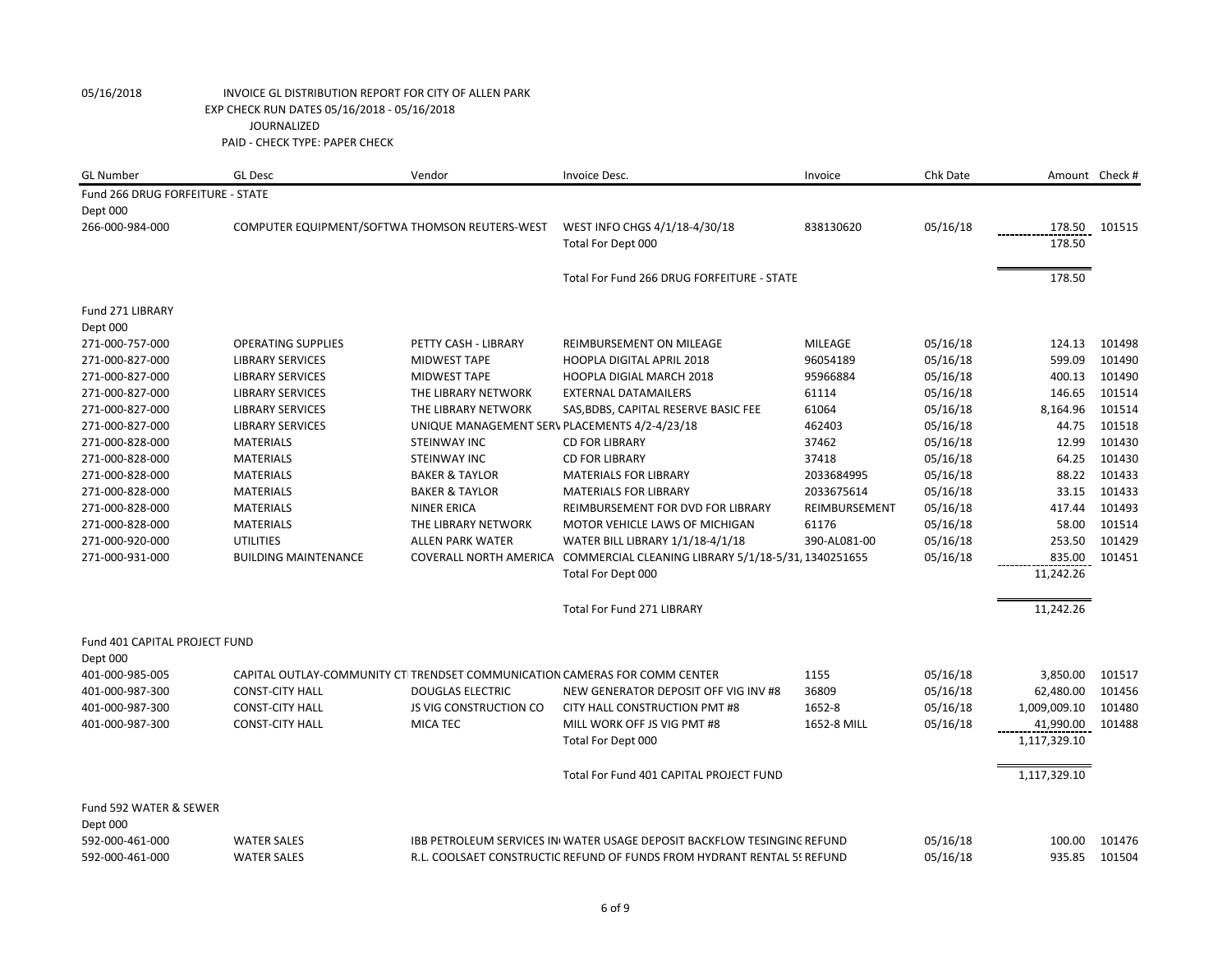| <b>GL Number</b>                 | <b>GL Desc</b>                                 | Vendor                                                                     | Invoice Desc.                                                                  | Invoice        | Chk Date |              | Amount Check # |
|----------------------------------|------------------------------------------------|----------------------------------------------------------------------------|--------------------------------------------------------------------------------|----------------|----------|--------------|----------------|
| Fund 266 DRUG FORFEITURE - STATE |                                                |                                                                            |                                                                                |                |          |              |                |
| Dept 000                         |                                                |                                                                            |                                                                                |                |          |              |                |
| 266-000-984-000                  | COMPUTER EQUIPMENT/SOFTWA THOMSON REUTERS-WEST |                                                                            | WEST INFO CHGS 4/1/18-4/30/18                                                  | 838130620      | 05/16/18 | 178.50       | 101515         |
|                                  |                                                |                                                                            | Total For Dept 000                                                             |                |          | 178.50       |                |
|                                  |                                                |                                                                            | Total For Fund 266 DRUG FORFEITURE - STATE                                     |                |          | 178.50       |                |
|                                  |                                                |                                                                            |                                                                                |                |          |              |                |
| Fund 271 LIBRARY                 |                                                |                                                                            |                                                                                |                |          |              |                |
| Dept 000                         |                                                |                                                                            |                                                                                |                |          |              |                |
| 271-000-757-000                  | <b>OPERATING SUPPLIES</b>                      | PETTY CASH - LIBRARY                                                       | <b>REIMBURSEMENT ON MILEAGE</b>                                                | <b>MILEAGE</b> | 05/16/18 | 124.13       | 101498         |
| 271-000-827-000                  | <b>LIBRARY SERVICES</b>                        | <b>MIDWEST TAPE</b>                                                        | <b>HOOPLA DIGITAL APRIL 2018</b>                                               | 96054189       | 05/16/18 | 599.09       | 101490         |
| 271-000-827-000                  | <b>LIBRARY SERVICES</b>                        | <b>MIDWEST TAPE</b>                                                        | <b>HOOPLA DIGIAL MARCH 2018</b>                                                | 95966884       | 05/16/18 | 400.13       | 101490         |
| 271-000-827-000                  | <b>LIBRARY SERVICES</b>                        | THE LIBRARY NETWORK                                                        | <b>EXTERNAL DATAMAILERS</b>                                                    | 61114          | 05/16/18 | 146.65       | 101514         |
| 271-000-827-000                  | <b>LIBRARY SERVICES</b>                        | THE LIBRARY NETWORK                                                        | SAS, BDBS, CAPITAL RESERVE BASIC FEE                                           | 61064          | 05/16/18 | 8,164.96     | 101514         |
| 271-000-827-000                  | <b>LIBRARY SERVICES</b>                        | UNIQUE MANAGEMENT SERV PLACEMENTS 4/2-4/23/18                              |                                                                                | 462403         | 05/16/18 | 44.75        | 101518         |
| 271-000-828-000                  | <b>MATERIALS</b>                               | <b>STEINWAY INC</b>                                                        | <b>CD FOR LIBRARY</b>                                                          | 37462          | 05/16/18 | 12.99        | 101430         |
| 271-000-828-000                  | <b>MATERIALS</b>                               | <b>STEINWAY INC</b>                                                        | <b>CD FOR LIBRARY</b>                                                          | 37418          | 05/16/18 | 64.25        | 101430         |
| 271-000-828-000                  | <b>MATERIALS</b>                               | <b>BAKER &amp; TAYLOR</b>                                                  | <b>MATERIALS FOR LIBRARY</b>                                                   | 2033684995     | 05/16/18 | 88.22        | 101433         |
| 271-000-828-000                  | <b>MATERIALS</b>                               | <b>BAKER &amp; TAYLOR</b>                                                  | <b>MATERIALS FOR LIBRARY</b>                                                   | 2033675614     | 05/16/18 | 33.15        | 101433         |
| 271-000-828-000                  | <b>MATERIALS</b>                               | <b>NINER ERICA</b>                                                         | REIMBURSEMENT FOR DVD FOR LIBRARY                                              | REIMBURSEMENT  | 05/16/18 | 417.44       | 101493         |
| 271-000-828-000                  | <b>MATERIALS</b>                               | THE LIBRARY NETWORK                                                        | MOTOR VEHICLE LAWS OF MICHIGAN                                                 | 61176          | 05/16/18 | 58.00        | 101514         |
| 271-000-920-000                  | <b>UTILITIES</b>                               | <b>ALLEN PARK WATER</b>                                                    | WATER BILL LIBRARY 1/1/18-4/1/18                                               | 390-AL081-00   | 05/16/18 | 253.50       | 101429         |
| 271-000-931-000                  | <b>BUILDING MAINTENANCE</b>                    |                                                                            | COVERALL NORTH AMERICA COMMERCIAL CLEANING LIBRARY 5/1/18-5/31, 1340251655     |                | 05/16/18 | 835.00       | 101451         |
|                                  |                                                |                                                                            | Total For Dept 000                                                             |                |          | 11,242.26    |                |
|                                  |                                                |                                                                            | <b>Total For Fund 271 LIBRARY</b>                                              |                |          | 11,242.26    |                |
| Fund 401 CAPITAL PROJECT FUND    |                                                |                                                                            |                                                                                |                |          |              |                |
| Dept 000                         |                                                |                                                                            |                                                                                |                |          |              |                |
| 401-000-985-005                  |                                                | CAPITAL OUTLAY-COMMUNITY CTITRENDSET COMMUNICATION CAMERAS FOR COMM CENTER |                                                                                | 1155           | 05/16/18 | 3,850.00     | 101517         |
| 401-000-987-300                  | <b>CONST-CITY HALL</b>                         | <b>DOUGLAS ELECTRIC</b>                                                    | NEW GENERATOR DEPOSIT OFF VIG INV #8                                           | 36809          | 05/16/18 | 62,480.00    | 101456         |
| 401-000-987-300                  | <b>CONST-CITY HALL</b>                         | <b>JS VIG CONSTRUCTION CO</b>                                              | CITY HALL CONSTRUCTION PMT #8                                                  | 1652-8         | 05/16/18 | 1,009,009.10 | 101480         |
| 401-000-987-300                  | <b>CONST-CITY HALL</b>                         | <b>MICA TEC</b>                                                            | MILL WORK OFF JS VIG PMT #8                                                    | 1652-8 MILL    | 05/16/18 | 41,990.00    | 101488         |
|                                  |                                                |                                                                            | Total For Dept 000                                                             |                |          | 1,117,329.10 |                |
|                                  |                                                |                                                                            | Total For Fund 401 CAPITAL PROJECT FUND                                        |                |          | 1,117,329.10 |                |
| Fund 592 WATER & SEWER           |                                                |                                                                            |                                                                                |                |          |              |                |
| Dept 000                         |                                                |                                                                            |                                                                                |                |          |              |                |
| 592-000-461-000                  | <b>WATER SALES</b>                             |                                                                            | <b>IBB PETROLEUM SERVICES IN WATER USAGE DEPOSIT BACKFLOW TESINGING REFUND</b> |                | 05/16/18 | 100.00       | 101476         |
| 592-000-461-000                  | <b>WATER SALES</b>                             |                                                                            | R.L. COOLSAET CONSTRUCTIC REFUND OF FUNDS FROM HYDRANT RENTAL 55 REFUND        |                | 05/16/18 | 935.85       | 101504         |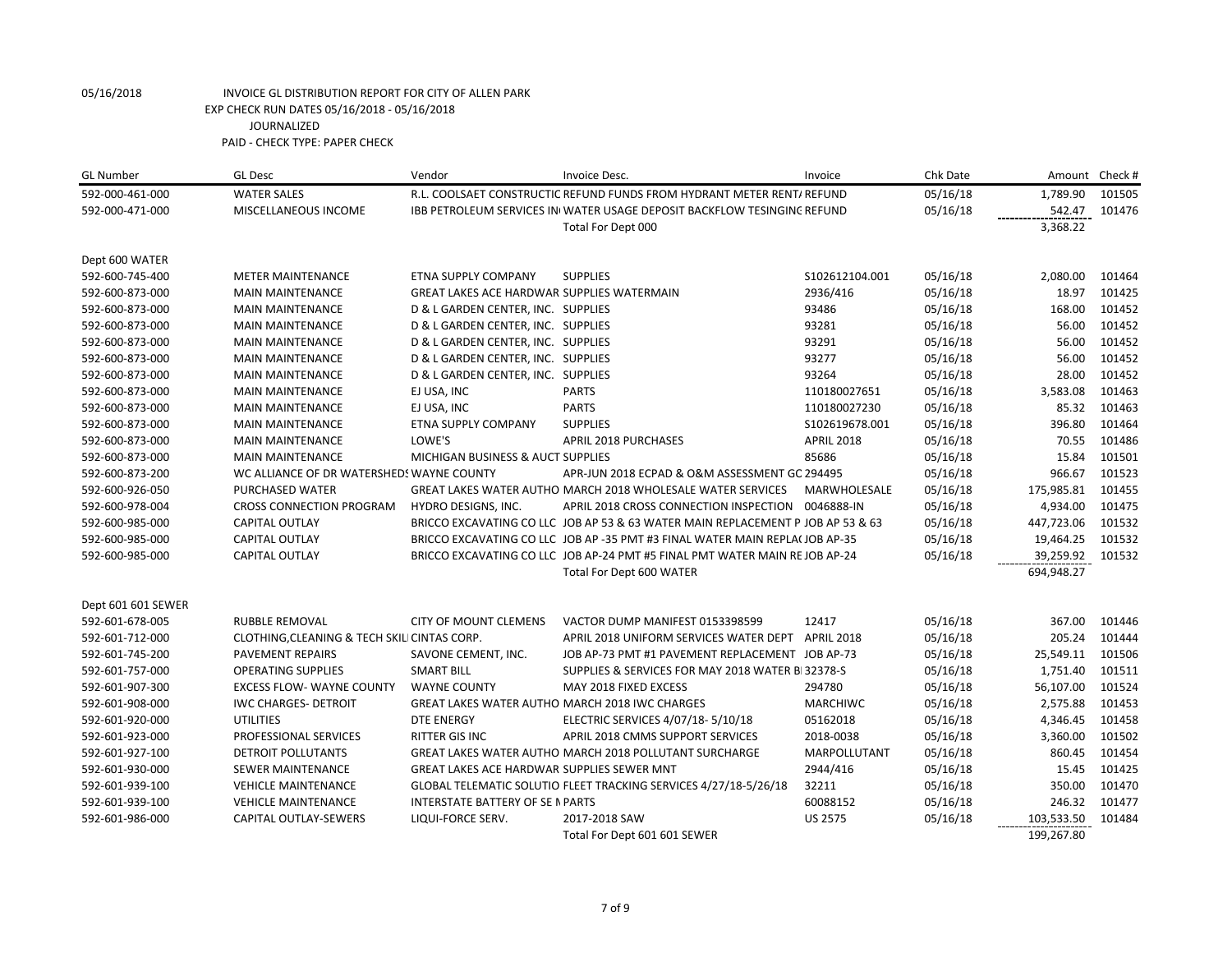| <b>GL Number</b>   | <b>GL Desc</b>                               | Vendor                                            | Invoice Desc.                                                                   | Invoice           | Chk Date |            | Amount Check # |
|--------------------|----------------------------------------------|---------------------------------------------------|---------------------------------------------------------------------------------|-------------------|----------|------------|----------------|
| 592-000-461-000    | <b>WATER SALES</b>                           |                                                   | R.L. COOLSAET CONSTRUCTIC REFUND FUNDS FROM HYDRANT METER RENT/ REFUND          |                   | 05/16/18 | 1,789.90   | 101505         |
| 592-000-471-000    | MISCELLANEOUS INCOME                         |                                                   | <b>IBB PETROLEUM SERVICES IN WATER USAGE DEPOSIT BACKFLOW TESINGING REFUND</b>  |                   | 05/16/18 | 542.47     | 101476         |
|                    |                                              |                                                   | Total For Dept 000                                                              |                   |          | 3,368.22   |                |
| Dept 600 WATER     |                                              |                                                   |                                                                                 |                   |          |            |                |
| 592-600-745-400    | <b>METER MAINTENANCE</b>                     | <b>ETNA SUPPLY COMPANY</b>                        | <b>SUPPLIES</b>                                                                 | S102612104.001    | 05/16/18 | 2,080.00   | 101464         |
| 592-600-873-000    | <b>MAIN MAINTENANCE</b>                      | <b>GREAT LAKES ACE HARDWAR SUPPLIES WATERMAIN</b> |                                                                                 | 2936/416          | 05/16/18 | 18.97      | 101425         |
| 592-600-873-000    | <b>MAIN MAINTENANCE</b>                      | D & L GARDEN CENTER, INC. SUPPLIES                |                                                                                 | 93486             | 05/16/18 | 168.00     | 101452         |
| 592-600-873-000    | <b>MAIN MAINTENANCE</b>                      | D & L GARDEN CENTER, INC. SUPPLIES                |                                                                                 | 93281             | 05/16/18 | 56.00      | 101452         |
| 592-600-873-000    | <b>MAIN MAINTENANCE</b>                      | D & L GARDEN CENTER, INC. SUPPLIES                |                                                                                 | 93291             | 05/16/18 | 56.00      | 101452         |
| 592-600-873-000    | <b>MAIN MAINTENANCE</b>                      | D & L GARDEN CENTER, INC. SUPPLIES                |                                                                                 | 93277             | 05/16/18 | 56.00      | 101452         |
| 592-600-873-000    | <b>MAIN MAINTENANCE</b>                      | D & L GARDEN CENTER, INC. SUPPLIES                |                                                                                 | 93264             | 05/16/18 | 28.00      | 101452         |
| 592-600-873-000    | <b>MAIN MAINTENANCE</b>                      | EJ USA, INC                                       | <b>PARTS</b>                                                                    | 110180027651      | 05/16/18 | 3,583.08   | 101463         |
| 592-600-873-000    | <b>MAIN MAINTENANCE</b>                      | EJ USA, INC                                       | <b>PARTS</b>                                                                    | 110180027230      | 05/16/18 | 85.32      | 101463         |
| 592-600-873-000    | <b>MAIN MAINTENANCE</b>                      | ETNA SUPPLY COMPANY                               | <b>SUPPLIES</b>                                                                 | S102619678.001    | 05/16/18 | 396.80     | 101464         |
| 592-600-873-000    | <b>MAIN MAINTENANCE</b>                      | LOWE'S                                            | <b>APRIL 2018 PURCHASES</b>                                                     | <b>APRIL 2018</b> | 05/16/18 | 70.55      | 101486         |
| 592-600-873-000    | <b>MAIN MAINTENANCE</b>                      | MICHIGAN BUSINESS & AUCT SUPPLIES                 |                                                                                 | 85686             | 05/16/18 | 15.84      | 101501         |
| 592-600-873-200    | WC ALLIANCE OF DR WATERSHEDS WAYNE COUNTY    |                                                   | APR-JUN 2018 ECPAD & O&M ASSESSMENT GC 294495                                   |                   | 05/16/18 | 966.67     | 101523         |
| 592-600-926-050    | PURCHASED WATER                              |                                                   | <b>GREAT LAKES WATER AUTHO MARCH 2018 WHOLESALE WATER SERVICES</b>              | MARWHOLESALE      | 05/16/18 | 175,985.81 | 101455         |
| 592-600-978-004    | <b>CROSS CONNECTION PROGRAM</b>              | HYDRO DESIGNS, INC.                               | APRIL 2018 CROSS CONNECTION INSPECTION 0046888-IN                               |                   | 05/16/18 | 4,934.00   | 101475         |
| 592-600-985-000    | <b>CAPITAL OUTLAY</b>                        |                                                   | BRICCO EXCAVATING CO LLC JOB AP 53 & 63 WATER MAIN REPLACEMENT P JOB AP 53 & 63 |                   | 05/16/18 | 447,723.06 | 101532         |
| 592-600-985-000    | <b>CAPITAL OUTLAY</b>                        |                                                   | BRICCO EXCAVATING CO LLC JOB AP -35 PMT #3 FINAL WATER MAIN REPLA(JOB AP-35     |                   | 05/16/18 | 19,464.25  | 101532         |
| 592-600-985-000    | CAPITAL OUTLAY                               |                                                   | BRICCO EXCAVATING CO LLC JOB AP-24 PMT #5 FINAL PMT WATER MAIN REJOB AP-24      |                   | 05/16/18 | 39,259.92  | 101532         |
|                    |                                              |                                                   | Total For Dept 600 WATER                                                        |                   |          | 694,948.27 |                |
| Dept 601 601 SEWER |                                              |                                                   |                                                                                 |                   |          |            |                |
| 592-601-678-005    | RUBBLE REMOVAL                               | <b>CITY OF MOUNT CLEMENS</b>                      | VACTOR DUMP MANIFEST 0153398599                                                 | 12417             | 05/16/18 | 367.00     | 101446         |
| 592-601-712-000    | CLOTHING, CLEANING & TECH SKILI CINTAS CORP. |                                                   | APRIL 2018 UNIFORM SERVICES WATER DEPT                                          | <b>APRIL 2018</b> | 05/16/18 | 205.24     | 101444         |
| 592-601-745-200    | <b>PAVEMENT REPAIRS</b>                      | SAVONE CEMENT, INC.                               | JOB AP-73 PMT #1 PAVEMENT REPLACEMENT JOB AP-73                                 |                   | 05/16/18 | 25,549.11  | 101506         |
| 592-601-757-000    | <b>OPERATING SUPPLIES</b>                    | <b>SMART BILL</b>                                 | SUPPLIES & SERVICES FOR MAY 2018 WATER B 32378-S                                |                   | 05/16/18 | 1,751.40   | 101511         |
| 592-601-907-300    | <b>EXCESS FLOW- WAYNE COUNTY</b>             | <b>WAYNE COUNTY</b>                               | MAY 2018 FIXED EXCESS                                                           | 294780            | 05/16/18 | 56,107.00  | 101524         |
| 592-601-908-000    | <b>IWC CHARGES- DETROIT</b>                  |                                                   | GREAT LAKES WATER AUTHO MARCH 2018 IWC CHARGES                                  | <b>MARCHIWC</b>   | 05/16/18 | 2,575.88   | 101453         |
| 592-601-920-000    | <b>UTILITIES</b>                             | <b>DTE ENERGY</b>                                 | ELECTRIC SERVICES 4/07/18-5/10/18                                               | 05162018          | 05/16/18 | 4,346.45   | 101458         |
| 592-601-923-000    | PROFESSIONAL SERVICES                        | <b>RITTER GIS INC</b>                             | APRIL 2018 CMMS SUPPORT SERVICES                                                | 2018-0038         | 05/16/18 | 3,360.00   | 101502         |
| 592-601-927-100    | DETROIT POLLUTANTS                           |                                                   | GREAT LAKES WATER AUTHO MARCH 2018 POLLUTANT SURCHARGE                          | MARPOLLUTANT      | 05/16/18 | 860.45     | 101454         |
| 592-601-930-000    | SEWER MAINTENANCE                            | GREAT LAKES ACE HARDWAR SUPPLIES SEWER MNT        |                                                                                 | 2944/416          | 05/16/18 | 15.45      | 101425         |
| 592-601-939-100    | <b>VEHICLE MAINTENANCE</b>                   |                                                   | GLOBAL TELEMATIC SOLUTIO FLEET TRACKING SERVICES 4/27/18-5/26/18                | 32211             | 05/16/18 | 350.00     | 101470         |
| 592-601-939-100    | <b>VEHICLE MAINTENANCE</b>                   | <b>INTERSTATE BATTERY OF SE N PARTS</b>           |                                                                                 | 60088152          | 05/16/18 | 246.32     | 101477         |
| 592-601-986-000    | CAPITAL OUTLAY-SEWERS                        | LIQUI-FORCE SERV.                                 | 2017-2018 SAW                                                                   | <b>US 2575</b>    | 05/16/18 | 103,533.50 | 101484         |
|                    |                                              |                                                   | Total For Dept 601 601 SEWER                                                    |                   |          | 199,267.80 |                |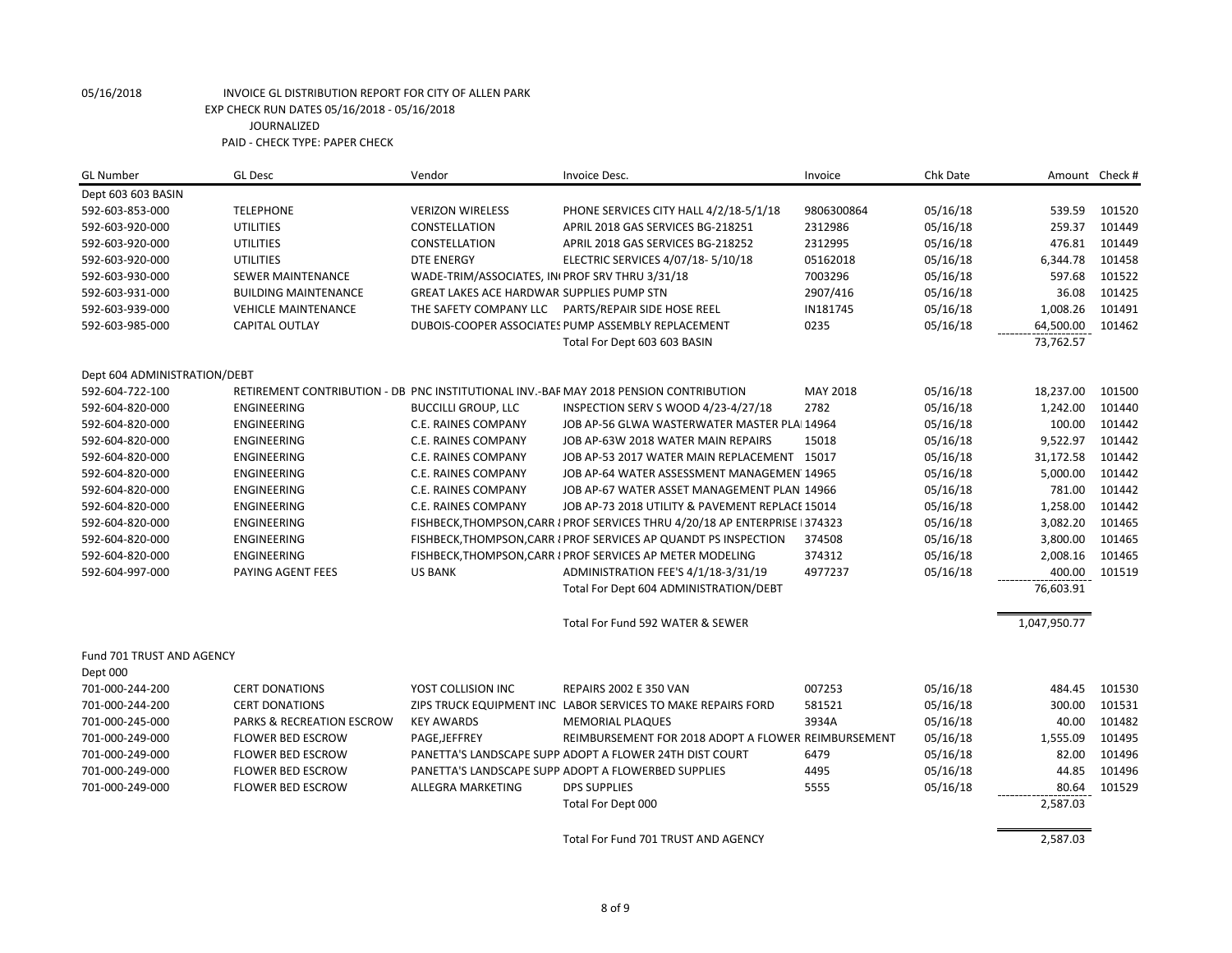| <b>GL Number</b>             | <b>GL Desc</b>              | Vendor                                         | Invoice Desc.                                                                         | Invoice    | Chk Date | Amount Check # |        |
|------------------------------|-----------------------------|------------------------------------------------|---------------------------------------------------------------------------------------|------------|----------|----------------|--------|
| Dept 603 603 BASIN           |                             |                                                |                                                                                       |            |          |                |        |
| 592-603-853-000              | <b>TELEPHONE</b>            | <b>VERIZON WIRELESS</b>                        | PHONE SERVICES CITY HALL 4/2/18-5/1/18                                                | 9806300864 | 05/16/18 | 539.59         | 101520 |
| 592-603-920-000              | <b>UTILITIES</b>            | CONSTELLATION                                  | APRIL 2018 GAS SERVICES BG-218251                                                     | 2312986    | 05/16/18 | 259.37         | 101449 |
| 592-603-920-000              | <b>UTILITIES</b>            | CONSTELLATION                                  | APRIL 2018 GAS SERVICES BG-218252                                                     | 2312995    | 05/16/18 | 476.81         | 101449 |
| 592-603-920-000              | <b>UTILITIES</b>            | <b>DTE ENERGY</b>                              | ELECTRIC SERVICES 4/07/18-5/10/18                                                     | 05162018   | 05/16/18 | 6,344.78       | 101458 |
| 592-603-930-000              | SEWER MAINTENANCE           | WADE-TRIM/ASSOCIATES, INIPROF SRV THRU 3/31/18 |                                                                                       | 7003296    | 05/16/18 | 597.68         | 101522 |
| 592-603-931-000              | <b>BUILDING MAINTENANCE</b> | GREAT LAKES ACE HARDWAR SUPPLIES PUMP STN      |                                                                                       | 2907/416   | 05/16/18 | 36.08          | 101425 |
| 592-603-939-000              | <b>VEHICLE MAINTENANCE</b>  | THE SAFETY COMPANY LLC                         | PARTS/REPAIR SIDE HOSE REEL                                                           | IN181745   | 05/16/18 | 1,008.26       | 101491 |
| 592-603-985-000              | CAPITAL OUTLAY              |                                                | DUBOIS-COOPER ASSOCIATES PUMP ASSEMBLY REPLACEMENT                                    | 0235       | 05/16/18 | 64,500.00      | 101462 |
|                              |                             |                                                | Total For Dept 603 603 BASIN                                                          |            |          | 73,762.57      |        |
| Dept 604 ADMINISTRATION/DEBT |                             |                                                |                                                                                       |            |          |                |        |
| 592-604-722-100              |                             |                                                | RETIREMENT CONTRIBUTION - DB PNC INSTITUTIONAL INV.-BAF MAY 2018 PENSION CONTRIBUTION | MAY 2018   | 05/16/18 | 18,237.00      | 101500 |
| 592-604-820-000              | ENGINEERING                 | <b>BUCCILLI GROUP, LLC</b>                     | INSPECTION SERV S WOOD 4/23-4/27/18                                                   | 2782       | 05/16/18 | 1,242.00       | 101440 |
| 592-604-820-000              | ENGINEERING                 | C.E. RAINES COMPANY                            | JOB AP-56 GLWA WASTERWATER MASTER PLAI 14964                                          |            | 05/16/18 | 100.00         | 101442 |
| 592-604-820-000              | <b>ENGINEERING</b>          | <b>C.E. RAINES COMPANY</b>                     | JOB AP-63W 2018 WATER MAIN REPAIRS                                                    | 15018      | 05/16/18 | 9,522.97       | 101442 |
| 592-604-820-000              | <b>ENGINEERING</b>          | C.E. RAINES COMPANY                            | JOB AP-53 2017 WATER MAIN REPLACEMENT 15017                                           |            | 05/16/18 | 31,172.58      | 101442 |
| 592-604-820-000              | ENGINEERING                 | C.E. RAINES COMPANY                            | JOB AP-64 WATER ASSESSMENT MANAGEMEN 14965                                            |            | 05/16/18 | 5,000.00       | 101442 |
| 592-604-820-000              | ENGINEERING                 | C.E. RAINES COMPANY                            | JOB AP-67 WATER ASSET MANAGEMENT PLAN 14966                                           |            | 05/16/18 | 781.00         | 101442 |
| 592-604-820-000              | ENGINEERING                 | C.E. RAINES COMPANY                            | JOB AP-73 2018 UTILITY & PAVEMENT REPLACE 15014                                       |            | 05/16/18 | 1,258.00       | 101442 |
| 592-604-820-000              | ENGINEERING                 |                                                | FISHBECK, THOMPSON, CARR I PROF SERVICES THRU 4/20/18 AP ENTERPRISE 1374323           |            | 05/16/18 | 3,082.20       | 101465 |
| 592-604-820-000              | ENGINEERING                 |                                                | FISHBECK, THOMPSON, CARR I PROF SERVICES AP QUANDT PS INSPECTION                      | 374508     | 05/16/18 | 3,800.00       | 101465 |
| 592-604-820-000              | <b>ENGINEERING</b>          |                                                | FISHBECK, THOMPSON, CARR I PROF SERVICES AP METER MODELING                            | 374312     | 05/16/18 | 2,008.16       | 101465 |
| 592-604-997-000              | PAYING AGENT FEES           | <b>US BANK</b>                                 | ADMINISTRATION FEE'S 4/1/18-3/31/19                                                   | 4977237    | 05/16/18 | 400.00         | 101519 |
|                              |                             |                                                | Total For Dept 604 ADMINISTRATION/DEBT                                                |            |          | 76,603.91      |        |
|                              |                             |                                                | Total For Fund 592 WATER & SEWER                                                      |            |          | 1,047,950.77   |        |
| Fund 701 TRUST AND AGENCY    |                             |                                                |                                                                                       |            |          |                |        |
| Dept 000                     |                             |                                                |                                                                                       |            |          |                |        |
| 701-000-244-200              | <b>CERT DONATIONS</b>       | YOST COLLISION INC                             | <b>REPAIRS 2002 E 350 VAN</b>                                                         | 007253     | 05/16/18 | 484.45         | 101530 |
| 701-000-244-200              | <b>CERT DONATIONS</b>       |                                                | ZIPS TRUCK EQUIPMENT INC LABOR SERVICES TO MAKE REPAIRS FORD                          | 581521     | 05/16/18 | 300.00         | 101531 |
| 701-000-245-000              | PARKS & RECREATION ESCROW   | <b>KEY AWARDS</b>                              | <b>MEMORIAL PLAQUES</b>                                                               | 3934A      | 05/16/18 | 40.00          | 101482 |
| 701-000-249-000              | <b>FLOWER BED ESCROW</b>    | PAGE, JEFFREY                                  | REIMBURSEMENT FOR 2018 ADOPT A FLOWER REIMBURSEMENT                                   |            | 05/16/18 | 1,555.09       | 101495 |
| 701-000-249-000              | <b>FLOWER BED ESCROW</b>    |                                                | PANETTA'S LANDSCAPE SUPP ADOPT A FLOWER 24TH DIST COURT                               | 6479       | 05/16/18 | 82.00          | 101496 |
| 701-000-249-000              | <b>FLOWER BED ESCROW</b>    |                                                | PANETTA'S LANDSCAPE SUPP ADOPT A FLOWERBED SUPPLIES                                   | 4495       | 05/16/18 | 44.85          | 101496 |
| 701-000-249-000              | <b>FLOWER BED ESCROW</b>    | ALLEGRA MARKETING                              | <b>DPS SUPPLIES</b>                                                                   | 5555       | 05/16/18 | 80.64          | 101529 |
|                              |                             |                                                | Total For Dept 000                                                                    |            |          | 2,587.03       |        |
|                              |                             |                                                | Total For Fund 701 TRUST AND AGENCY                                                   |            |          | 2,587.03       |        |